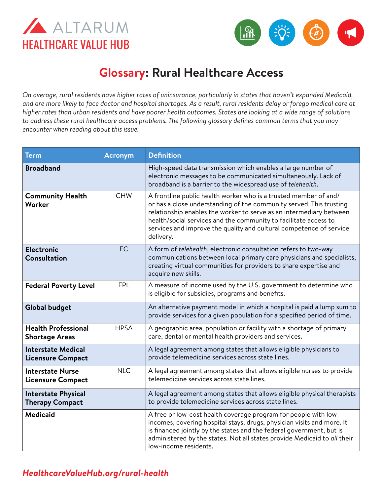



## **Glossary: Rural Healthcare Access**

*On average, rural residents have higher rates of uninsurance, particularly in states that haven't expanded Medicaid, and are more likely to face doctor and hospital shortages. As a result, rural residents delay or forego medical care at higher rates than urban residents and have poorer health outcomes. States are looking at a wide range of solutions to address these rural healthcare access problems. The following glossary defines common terms that you may encounter when reading about this issue.* 

| <b>Term</b>                                           | <b>Acronym</b> | <b>Definition</b>                                                                                                                                                                                                                                                                                                                                                      |
|-------------------------------------------------------|----------------|------------------------------------------------------------------------------------------------------------------------------------------------------------------------------------------------------------------------------------------------------------------------------------------------------------------------------------------------------------------------|
| <b>Broadband</b>                                      |                | High-speed data transmission which enables a large number of<br>electronic messages to be communicated simultaneously. Lack of<br>broadband is a barrier to the widespread use of telehealth.                                                                                                                                                                          |
| <b>Community Health</b><br>Worker                     | <b>CHW</b>     | A frontline public health worker who is a trusted member of and/<br>or has a close understanding of the community served. This trusting<br>relationship enables the worker to serve as an intermediary between<br>health/social services and the community to facilitate access to<br>services and improve the quality and cultural competence of service<br>delivery. |
| <b>Electronic</b><br>Consultation                     | <b>EC</b>      | A form of telehealth, electronic consultation refers to two-way<br>communications between local primary care physicians and specialists,<br>creating virtual communities for providers to share expertise and<br>acquire new skills.                                                                                                                                   |
| <b>Federal Poverty Level</b>                          | <b>FPL</b>     | A measure of income used by the U.S. government to determine who<br>is eligible for subsidies, programs and benefits.                                                                                                                                                                                                                                                  |
| <b>Global budget</b>                                  |                | An alternative payment model in which a hospital is paid a lump sum to<br>provide services for a given population for a specified period of time.                                                                                                                                                                                                                      |
| <b>Health Professional</b><br><b>Shortage Areas</b>   | <b>HPSA</b>    | A geographic area, population or facility with a shortage of primary<br>care, dental or mental health providers and services.                                                                                                                                                                                                                                          |
| <b>Interstate Medical</b><br><b>Licensure Compact</b> |                | A legal agreement among states that allows eligible physicians to<br>provide telemedicine services across state lines.                                                                                                                                                                                                                                                 |
| <b>Interstate Nurse</b><br><b>Licensure Compact</b>   | <b>NLC</b>     | A legal agreement among states that allows eligible nurses to provide<br>telemedicine services across state lines.                                                                                                                                                                                                                                                     |
| <b>Interstate Physical</b><br><b>Therapy Compact</b>  |                | A legal agreement among states that allows eligible physical therapists<br>to provide telemedicine services across state lines.                                                                                                                                                                                                                                        |
| <b>Medicaid</b>                                       |                | A free or low-cost health coverage program for people with low<br>incomes, covering hospital stays, drugs, physician visits and more. It<br>is financed jointly by the states and the federal government, but is<br>administered by the states. Not all states provide Medicaid to all their<br>low-income residents.                                                  |

## *[HealthcareValueHub.org/r](https://www.HealthcareValueHub.org/rural-health)ural-health*